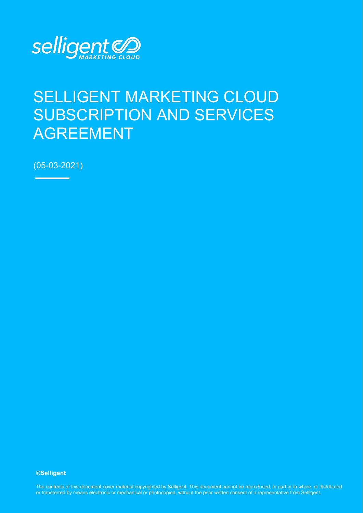

# SELLIGENT MARKETING CLOUD SUBSCRIPTION AND SERVICES AGREEMENT

(05-03-2021)

#### **©Selligent**

The contents of this document cover material copyrighted by Selligent. This document cannot be reproduced, in part or in whole, or distributed or transferred by means electronic or mechanical or photocopied, without the prior written consent of a representative from Selligent.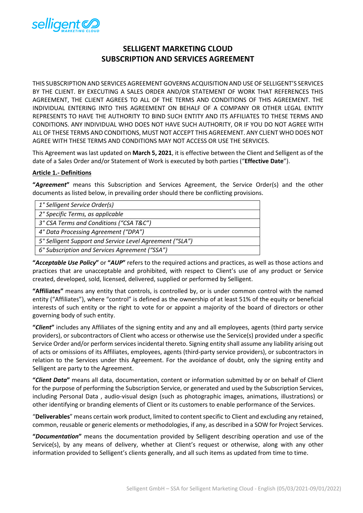

# **SELLIGENT MARKETING CLOUD SUBSCRIPTION AND SERVICES AGREEMENT**

THIS SUBSCRIPTION AND SERVICES AGREEMENT GOVERNS ACQUISITION AND USE OF SELLIGENT'S SERVICES BY THE CLIENT. BY EXECUTING A SALES ORDER AND/OR STATEMENT OF WORK THAT REFERENCES THIS AGREEMENT, THE CLIENT AGREES TO ALL OF THE TERMS AND CONDITIONS OF THIS AGREEMENT. THE INDIVIDUAL ENTERING INTO THIS AGREEMENT ON BEHALF OF A COMPANY OR OTHER LEGAL ENTITY REPRESENTS TO HAVE THE AUTHORITY TO BIND SUCH ENTITY AND ITS AFFILIATES TO THESE TERMS AND CONDITIONS. ANY INDIVIDUAL WHO DOES NOT HAVE SUCH AUTHORITY, OR IF YOU DO NOT AGREE WITH ALL OF THESE TERMS AND CONDITIONS, MUST NOT ACCEPT THIS AGREEMENT. ANY CLIENT WHO DOES NOT AGREE WITH THESE TERMS AND CONDITIONS MAY NOT ACCESS OR USE THE SERVICES.

This Agreement was last updated on **March 5, 2021**, it is effective between the Client and Selligent as of the date of a Sales Order and/or Statement of Work is executed by both parties ("**Effective Date**").

# **Article 1.- Definitions**

**"***Agreement***"** means this Subscription and Services Agreement, the Service Order(s) and the other documents as listed below, in prevailing order should there be conflicting provisions.

| 1° Selligent Service Order(s)                            |
|----------------------------------------------------------|
| 2° Specific Terms, as applicable                         |
| 3° CSA Terms and Conditions ("CSA T&C")                  |
| 4° Data Processing Agreement ("DPA")                     |
| 5° Selligent Support and Service Level Agreement ("SLA") |
| 6° Subscription and Services Agreement ("SSA")           |

**"***Acceptable Use Policy***"** or **"***AUP***"** refers to the required actions and practices, as well as those actions and practices that are unacceptable and prohibited, with respect to Client's use of any product or Service created, developed, sold, licensed, delivered, supplied or performed by Selligent.

**"Affiliates"** means any entity that controls, is controlled by, or is under common control with the named entity ("Affiliates"), where "control" is defined as the ownership of at least 51% of the equity or beneficial interests of such entity or the right to vote for or appoint a majority of the board of directors or other governing body of such entity.

**"***Client***"** includes any Affiliates of the signing entity and any and all employees, agents (third party service providers), or subcontractors of Client who access or otherwise use the Service(s) provided under a specific Service Order and/or perform services incidental thereto. Signing entity shall assume any liability arising out of acts or omissions of its Affiliates, employees, agents (third-party service providers), or subcontractors in relation to the Services under this Agreement. For the avoidance of doubt, only the signing entity and Selligent are party to the Agreement.

**"***Client Data***"** means all data, documentation, content or information submitted by or on behalf of Client for the purpose of performing the Subscription Service, or generated and used by the Subscription Services, including Personal Data , audio-visual design (such as photographic images, animations, illustrations) or other identifying or branding elements of Client or its customers to enable performance of the Services.

"**Deliverables**" means certain work product, limited to content specific to Client and excluding any retained, common, reusable or generic elements or methodologies, if any, as described in a SOW for Project Services.

**"***Documentation***"** means the documentation provided by Selligent describing operation and use of the Service(s), by any means of delivery, whether at Client's request or otherwise, along with any other information provided to Selligent's clients generally, and all such items as updated from time to time.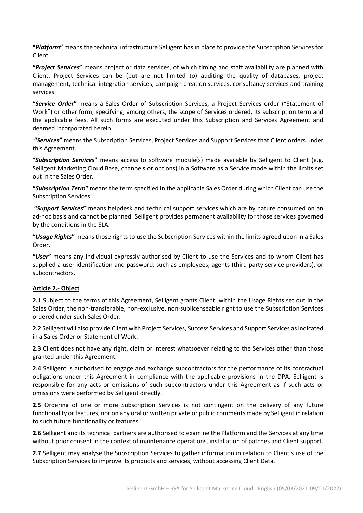**"***Platform***"** means the technical infrastructure Selligent has in place to provide the Subscription Services for Client.

**"***Project Services***"** means project or data services, of which timing and staff availability are planned with Client. Project Services can be (but are not limited to) auditing the quality of databases, project management, technical integration services, campaign creation services, consultancy services and training services.

**"***Service Order***"** means a Sales Order of Subscription Services, a Project Services order ("Statement of Work") or other form, specifying, among others, the scope of Services ordered, its subscription term and the applicable fees. All such forms are executed under this Subscription and Services Agreement and deemed incorporated herein.

**"***Services***"** means the Subscription Services, Project Services and Support Services that Client orders under this Agreement.

**"***Subscription Services***"** means access to software module(s) made available by Selligent to Client (e.g. Selligent Marketing Cloud Base, channels or options) in a Software as a Service mode within the limits set out in the Sales Order.

**"***Subscription Term***"** means the term specified in the applicable Sales Order during which Client can use the Subscription Services.

**"***Support Services***"** means helpdesk and technical support services which are by nature consumed on an ad-hoc basis and cannot be planned. Selligent provides permanent availability for those services governed by the conditions in the SLA.

**"***Usage Rights***"** means those rights to use the Subscription Services within the limits agreed upon in a Sales Order.

**"***User***"** means any individual expressly authorised by Client to use the Services and to whom Client has supplied a user identification and password, such as employees, agents (third-party service providers), or subcontractors.

#### **Article 2.- Object**

**2.1** Subject to the terms of this Agreement, Selligent grants Client, within the Usage Rights set out in the Sales Order, the non-transferable, non-exclusive, non-sublicenseable right to use the Subscription Services ordered under such Sales Order.

**2.2** Selligent will also provide Client with Project Services, Success Services and Support Services as indicated in a Sales Order or Statement of Work.

**2.3** Client does not have any right, claim or interest whatsoever relating to the Services other than those granted under this Agreement.

**2.4** Selligent is authorised to engage and exchange subcontractors for the performance of its contractual obligations under this Agreement in compliance with the applicable provisions in the DPA. Selligent is responsible for any acts or omissions of such subcontractors under this Agreement as if such acts or omissions were performed by Selligent directly.

**2.5** Ordering of one or more Subscription Services is not contingent on the delivery of any future functionality or features, nor on any oral or written private or public comments made by Selligent in relation to such future functionality or features.

**2.6** Selligent and its technical partners are authorised to examine the Platform and the Services at any time without prior consent in the context of maintenance operations, installation of patches and Client support.

**2.7** Selligent may analyse the Subscription Services to gather information in relation to Client's use of the Subscription Services to improve its products and services, without accessing Client Data.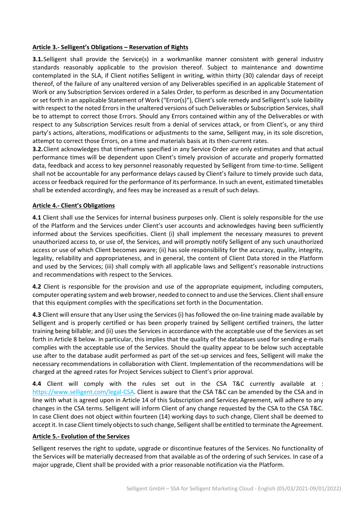# **Article 3.- Selligent's Obligations – Reservation of Rights**

**3.1.** Selligent shall provide the Service(s) in a workmanlike manner consistent with general industry standards reasonably applicable to the provision thereof. Subject to maintenance and downtime contemplated in the SLA, if Client notifies Selligent in writing, within thirty (30) calendar days of receipt thereof, of the failure of any unaltered version of any Deliverables specified in an applicable Statement of Work or any Subscription Services ordered in a Sales Order, to perform as described in any Documentation or set forth in an applicable Statement of Work ("Error(s)"), Client's sole remedy and Selligent's sole liability with respect to the noted Errors in the unaltered versions of such Deliverables or Subscription Services, shall be to attempt to correct those Errors. Should any Errors contained within any of the Deliverables or with respect to any Subscription Services result from a denial of services attack, or from Client's, or any third party's actions, alterations, modifications or adjustments to the same, Selligent may, in its sole discretion, attempt to correct those Errors, on a time and materials basis at its then-current rates.

**3.2.**Client acknowledges that timeframes specified in any Service Order are only estimates and that actual performance times will be dependent upon Client's timely provision of accurate and properly formatted data, feedback and access to key personnel reasonably requested by Selligent from time-to-time. Selligent shall not be accountable for any performance delays caused by Client's failure to timely provide such data, access or feedback required for the performance of its performance. In such an event, estimated timetables shall be extended accordingly, and fees may be increased as a result of such delays.

# **Article 4.- Client's Obligations**

**4.1** Client shall use the Services for internal business purposes only. Client is solely responsible for the use of the Platform and the Services under Client's user accounts and acknowledges having been sufficiently informed about the Services specificities. Client (i) shall implement the necessary measures to prevent unauthorized access to, or use of, the Services, and will promptly notify Selligent of any such unauthorized access or use of which Client becomes aware; (ii) has sole responsibility for the accuracy, quality, integrity, legality, reliability and appropriateness, and in general, the content of Client Data stored in the Platform and used by the Services; (iii) shall comply with all applicable laws and Selligent's reasonable instructions and recommendations with respect to the Services.

**4.2** Client is responsible for the provision and use of the appropriate equipment, including computers, computer operating system and web browser, needed to connect to and use the Services. Client shall ensure that this equipment complies with the specifications set forth in the Documentation.

**4.3** Client will ensure that any User using the Services (i) has followed the on-line training made available by Selligent and is properly certified or has been properly trained by Selligent certified trainers, the latter training being billable; and (ii) uses the Services in accordance with the acceptable use of the Services as set forth in Article 8 below. In particular, this implies that the quality of the databases used for sending e-mails complies with the acceptable use of the Services. Should the quality appear to be below such acceptable use after to the database audit performed as part of the set-up services and fees, Selligent will make the necessary recommendations in collaboration with Client. Implementation of the recommendations will be charged at the agreed rates for Project Services subject to Client's prior approval.

**4.4** Client will comply with the rules set out in the CSA T&C currently available at : [https://www.selligent.com/legal-CSA.](https://www.selligent.com/legal-CSA) Client is aware that the CSA T&C can be amended by the CSA and in line with what is agreed upon in Article 14 of this Subscription and Services Agreement, will adhere to any changes in the CSA terms. Selligent will inform Client of any change requested by the CSA to the CSA T&C. In case Client does not object within fourteen (14) working days to such change, Client shall be deemed to accept it. In case Client timely objects to such change, Selligent shall be entitled to terminate the Agreement.

#### **Article 5.- Evolution of the Services**

Selligent reserves the right to update, upgrade or discontinue features of the Services. No functionality of the Services will be materially decreased from that available as of the ordering of such Services. In case of a major upgrade, Client shall be provided with a prior reasonable notification via the Platform.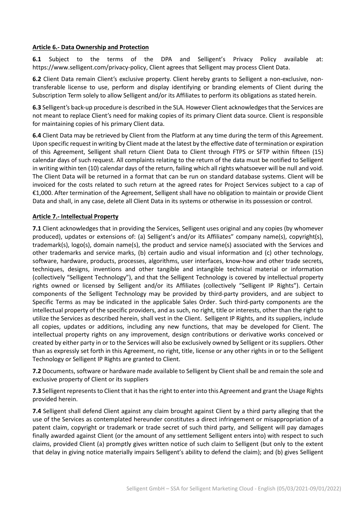#### **Article 6.- Data Ownership and Protection**

**6.1** Subject to the terms of the DPA and Selligent's Privacy Policy available at: [https://www.selligent.com/privacy-policy,](https://www.selligent.com/privacy-policy) Client agrees that Selligent may process Client Data.

**6.2** Client Data remain Client's exclusive property. Client hereby grants to Selligent a non-exclusive, nontransferable license to use, perform and display identifying or branding elements of Client during the Subscription Term solely to allow Selligent and/or its Affiliates to perform its obligations as stated herein.

**6.3** Selligent's back-up procedure is described in the SLA. However Client acknowledges that the Services are not meant to replace Client's need for making copies of its primary Client data source. Client is responsible for maintaining copies of his primary Client data.

**6.4** Client Data may be retrieved by Client from the Platform at any time during the term of this Agreement. Upon specific request in writing by Client made at the latest by the effective date of termination or expiration of this Agreement, Selligent shall return Client Data to Client through FTPS or SFTP within fifteen (15) calendar days of such request. All complaints relating to the return of the data must be notified to Selligent in writing within ten (10) calendar days of the return, failing which all rights whatsoever will be null and void. The Client Data will be returned in a format that can be run on standard database systems. Client will be invoiced for the costs related to such return at the agreed rates for Project Services subject to a cap of €1,000. After termination of the Agreement, Selligent shall have no obligation to maintain or provide Client Data and shall, in any case, delete all Client Data in its systems or otherwise in its possession or control.

#### **Article 7.- Intellectual Property**

**7.1** Client acknowledges that in providing the Services, Selligent uses original and any copies (by whomever produced), updates or extensions of: (a) Selligent's and/or its Affiliates" company name(s), copyright(s), trademark(s), logo(s), domain name(s), the product and service name(s) associated with the Services and other trademarks and service marks, (b) certain audio and visual information and (c) other technology, software, hardware, products, processes, algorithms, user interfaces, know-how and other trade secrets, techniques, designs, inventions and other tangible and intangible technical material or information (collectively "Selligent Technology"), and that the Selligent Technology is covered by intellectual property rights owned or licensed by Selligent and/or its Affiliates (collectively "Selligent IP Rights"). Certain components of the Selligent Technology may be provided by third-party providers, and are subject to Specific Terms as may be indicated in the applicable Sales Order. Such third-party components are the intellectual property of the specific providers, and as such, no right, title or interests, other than the right to utilize the Services as described herein, shall vest in the Client. Selligent IP Rights, and its suppliers, include all copies, updates or additions, including any new functions, that may be developed for Client. The intellectual property rights on any improvement, design contributions or derivative works conceived or created by either party in or to the Services will also be exclusively owned by Selligent or its suppliers. Other than as expressly set forth in this Agreement, no right, title, license or any other rights in or to the Selligent Technology or Selligent IP Rights are granted to Client.

**7.2** Documents, software or hardware made available to Selligent by Client shall be and remain the sole and exclusive property of Client or its suppliers

**7.3** Selligent represents to Client that it has the right to enter into this Agreement and grant the Usage Rights provided herein.

**7.4** Selligent shall defend Client against any claim brought against Client by a third party alleging that the use of the Services as contemplated hereunder constitutes a direct infringement or misappropriation of a patent claim, copyright or trademark or trade secret of such third party, and Selligent will pay damages finally awarded against Client (or the amount of any settlement Selligent enters into) with respect to such claims, provided Client (a) promptly gives written notice of such claim to Selligent (but only to the extent that delay in giving notice materially impairs Selligent's ability to defend the claim); and (b) gives Selligent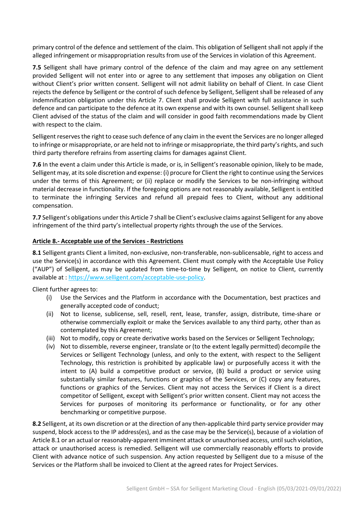primary control of the defence and settlement of the claim. This obligation of Selligent shall not apply if the alleged infringement or misappropriation results from use of the Services in violation of this Agreement.

**7.5** Selligent shall have primary control of the defence of the claim and may agree on any settlement provided Selligent will not enter into or agree to any settlement that imposes any obligation on Client without Client's prior written consent. Selligent will not admit liability on behalf of Client. In case Client rejects the defence by Selligent or the control of such defence by Selligent, Selligent shall be released of any indemnification obligation under this Article 7. Client shall provide Selligent with full assistance in such defence and can participate to the defence at its own expense and with its own counsel. Selligent shall keep Client advised of the status of the claim and will consider in good faith recommendations made by Client with respect to the claim.

Selligent reserves the right to cease such defence of any claim in the event the Services are no longer alleged to infringe or misappropriate, or are held not to infringe or misappropriate, the third party's rights, and such third party therefore refrains from asserting claims for damages against Client.

**7.6** In the event a claim under this Article is made, or is, in Selligent's reasonable opinion, likely to be made, Selligent may, at its sole discretion and expense: (i) procure for Client the right to continue using the Services under the terms of this Agreement; or (ii) replace or modify the Services to be non-infringing without material decrease in functionality. If the foregoing options are not reasonably available, Selligent is entitled to terminate the infringing Services and refund all prepaid fees to Client, without any additional compensation.

**7.7** Selligent's obligations under this Article 7 shall be Client's exclusive claims against Selligent for any above infringement of the third party's intellectual property rights through the use of the Services.

#### **Article 8.- Acceptable use of the Services - Restrictions**

**8.1** Selligent grants Client a limited, non-exclusive, non-transferable, non-sublicensable, right to access and use the Service(s) in accordance with this Agreement. Client must comply with the Acceptable Use Policy ("AUP") of Selligent, as may be updated from time-to-time by Selligent, on notice to Client, currently available at : [https://www.selligent.com/acceptable-use-policy.](https://selligent.com/acceptable-use-policy)

Client further agrees to:

- (i) Use the Services and the Platform in accordance with the Documentation, best practices and generally accepted code of conduct;
- (ii) Not to license, sublicense, sell, resell, rent, lease, transfer, assign, distribute, time-share or otherwise commercially exploit or make the Services available to any third party, other than as contemplated by this Agreement;
- (iii) Not to modify, copy or create derivative works based on the Services or Selligent Technology;
- (iv) Not to dissemble, reverse engineer, translate or (to the extent legally permitted) decompile the Services or Selligent Technology (unless, and only to the extent, with respect to the Selligent Technology, this restriction is prohibited by applicable law) or purposefully access it with the intent to (A) build a competitive product or service, (B) build a product or service using substantially similar features, functions or graphics of the Services, or (C) copy any features, functions or graphics of the Services. Client may not access the Services if Client is a direct competitor of Selligent, except with Selligent's prior written consent. Client may not access the Services for purposes of monitoring its performance or functionality, or for any other benchmarking or competitive purpose.

**8.2** Selligent, at its own discretion or at the direction of any then-applicable third party service provider may suspend, block access to the IP address(es), and as the case may be the Service(s), because of a violation of Article 8.1 or an actual or reasonably-apparent imminent attack or unauthorised access, until such violation, attack or unauthorised access is remedied. Selligent will use commercially reasonably efforts to provide Client with advance notice of such suspension. Any action requested by Selligent due to a misuse of the Services or the Platform shall be invoiced to Client at the agreed rates for Project Services.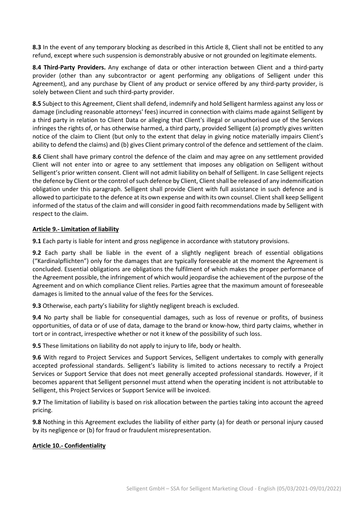**8.3** In the event of any temporary blocking as described in this Article 8, Client shall not be entitled to any refund, except where such suspension is demonstrably abusive or not grounded on legitimate elements.

**8.4 Third-Party Providers.** Any exchange of data or other interaction between Client and a third-party provider (other than any subcontractor or agent performing any obligations of Selligent under this Agreement), and any purchase by Client of any product or service offered by any third-party provider, is solely between Client and such third-party provider.

**8.5** Subject to this Agreement, Client shall defend, indemnify and hold Selligent harmless against any loss or damage (including reasonable attorneys' fees) incurred in connection with claims made against Selligent by a third party in relation to Client Data or alleging that Client's illegal or unauthorised use of the Services infringes the rights of, or has otherwise harmed, a third party, provided Selligent (a) promptly gives written notice of the claim to Client (but only to the extent that delay in giving notice materially impairs Client's ability to defend the claims) and (b) gives Client primary control of the defence and settlement of the claim.

**8.6** Client shall have primary control the defence of the claim and may agree on any settlement provided Client will not enter into or agree to any settlement that imposes any obligation on Selligent without Selligent's prior written consent. Client will not admit liability on behalf of Selligent. In case Selligent rejects the defence by Client or the control of such defence by Client, Client shall be released of any indemnification obligation under this paragraph. Selligent shall provide Client with full assistance in such defence and is allowed to participate to the defence at its own expense and with its own counsel. Client shall keep Selligent informed of the status of the claim and will consider in good faith recommendations made by Selligent with respect to the claim.

#### **Article 9.- Limitation of liability**

**9.1** Each party is liable for intent and gross negligence in accordance with statutory provisions.

**9.2** Each party shall be liable in the event of a slightly negligent breach of essential obligations ("Kardinalpflichten") only for the damages that are typically foreseeable at the moment the Agreement is concluded. Essential obligations are obligations the fulfilment of which makes the proper performance of the Agreement possible, the infringement of which would jeopardise the achievement of the purpose of the Agreement and on which compliance Client relies. Parties agree that the maximum amount of foreseeable damages is limited to the annual value of the fees for the Services.

**9.3** Otherwise, each party's liability for slightly negligent breach is excluded.

**9.4** No party shall be liable for consequential damages, such as loss of revenue or profits, of business opportunities, of data or of use of data, damage to the brand or know-how, third party claims, whether in tort or in contract, irrespective whether or not it knew of the possibility of such loss.

**9.5** These limitations on liability do not apply to injury to life, body or health.

**9.6** With regard to Project Services and Support Services, Selligent undertakes to comply with generally accepted professional standards. Selligent's liability is limited to actions necessary to rectify a Project Services or Support Service that does not meet generally accepted professional standards. However, if it becomes apparent that Selligent personnel must attend when the operating incident is not attributable to Selligent, this Project Services or Support Service will be invoiced.

**9.7** The limitation of liability is based on risk allocation between the parties taking into account the agreed pricing.

**9.8** Nothing in this Agreement excludes the liability of either party (a) for death or personal injury caused by its negligence or (b) for fraud or fraudulent misrepresentation.

#### **Article 10.- Confidentiality**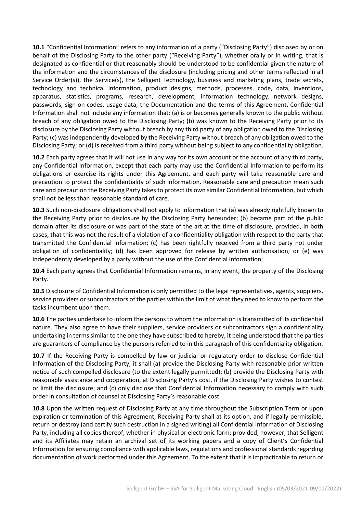**10.1** "Confidential Information" refers to any information of a party ("Disclosing Party") disclosed by or on behalf of the Disclosing Party to the other party ("Receiving Party"), whether orally or in writing, that is designated as confidential or that reasonably should be understood to be confidential given the nature of the information and the circumstances of the disclosure (including pricing and other terms reflected in all Service Order(s)), the Service(s), the Selligent Technology, business and marketing plans, trade secrets, technology and technical information, product designs, methods, processes, code, data, inventions, apparatus, statistics, programs, research, development, information technology, network designs, passwords, sign-on codes, usage data, the Documentation and the terms of this Agreement. Confidential Information shall not include any information that: (a) is or becomes generally known to the public without breach of any obligation owed to the Disclosing Party; (b) was known to the Receiving Party prior to its disclosure by the Disclosing Party without breach by any third party of any obligation owed to the Disclosing Party; (c) was independently developed by the Receiving Party without breach of any obligation owed to the Disclosing Party; or (d) is received from a third party without being subject to any confidentiality obligation.

**10.2** Each party agrees that it will not use in any way for its own account or the account of any third party, any Confidential Information, except that each party may use the Confidential Information to perform its obligations or exercise its rights under this Agreement, and each party will take reasonable care and precaution to protect the confidentiality of such information. Reasonable care and precaution mean such care and precaution the Receiving Party takes to protect its own similar Confidential Information, but which shall not be less than reasonable standard of care.

**10.3** Such non-disclosure obligations shall not apply to information that (a) was already rightfully known to the Receiving Party prior to disclosure by the Disclosing Party hereunder; (b) became part of the public domain after its disclosure or was part of the state of the art at the time of disclosure, provided, in both cases, that this was not the result of a violation of a confidentiality obligation with respect to the party that transmitted the Confidential Information; (c) has been rightfully received from a third party not under obligation of confidentiality; (d) has been approved for release by written authorisation; or (e) was independently developed by a party without the use of the Confidential Information;.

**10.4** Each party agrees that Confidential Information remains, in any event, the property of the Disclosing Party.

**10.5** Disclosure of Confidential Information is only permitted to the legal representatives, agents, suppliers, service providers or subcontractors of the parties within the limit of what they need to know to perform the tasks incumbent upon them.

**10.6** The parties undertake to inform the persons to whom the information is transmitted of its confidential nature. They also agree to have their suppliers, service providers or subcontractors sign a confidentiality undertaking in terms similar to the one they have subscribed to hereby, it being understood that the parties are guarantors of compliance by the persons referred to in this paragraph of this confidentiality obligation.

**10.7** If the Receiving Party is compelled by law or judicial or regulatory order to disclose Confidential Information of the Disclosing Party, it shall (a) provide the Disclosing Party with reasonable prior written notice of such compelled disclosure (to the extent legally permitted); (b) provide the Disclosing Party with reasonable assistance and cooperation, at Disclosing Party's cost, if the Disclosing Party wishes to contest or limit the disclosure; and (c) only disclose that Confidential Information necessary to comply with such order in consultation of counsel at Disclosing Party's reasonable cost.

**10.8** Upon the written request of Disclosing Party at any time throughout the Subscription Term or upon expiration or termination of this Agreement, Receiving Party shall at its option, and if legally permissible, return or destroy (and certify such destruction in a signed writing) all Confidential Information of Disclosing Party, including all copies thereof, whether in physical or electronic form; provided, however, that Selligent and its Affiliates may retain an archival set of its working papers and a copy of Client's Confidential Information for ensuring compliance with applicable laws, regulations and professional standards regarding documentation of work performed under this Agreement. To the extent that it is impracticable to return or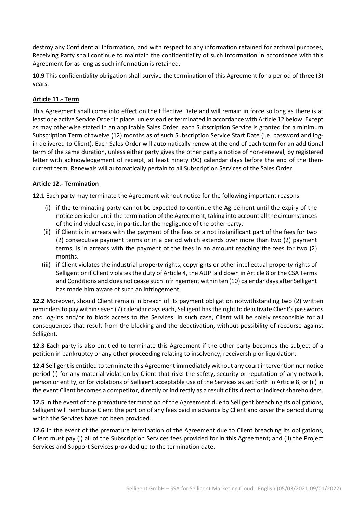destroy any Confidential Information, and with respect to any information retained for archival purposes, Receiving Party shall continue to maintain the confidentiality of such information in accordance with this Agreement for as long as such information is retained.

**10.9** This confidentiality obligation shall survive the termination of this Agreement for a period of three (3) years.

# **Article 11.- Term**

This Agreement shall come into effect on the Effective Date and will remain in force so long as there is at least one active Service Order in place, unless earlier terminated in accordance with Article 12 below. Except as may otherwise stated in an applicable Sales Order, each Subscription Service is granted for a minimum Subscription Term of twelve (12) months as of such Subscription Service Start Date (i.e. password and login delivered to Client). Each Sales Order will automatically renew at the end of each term for an additional term of the same duration, unless either party gives the other party a notice of non-renewal, by registered letter with acknowledgement of receipt, at least ninety (90) calendar days before the end of the thencurrent term. Renewals will automatically pertain to all Subscription Services of the Sales Order.

# **Article 12.- Termination**

**12.1** Each party may terminate the Agreement without notice for the following important reasons:

- (i) if the terminating party cannot be expected to continue the Agreement until the expiry of the notice period or until the termination of the Agreement, taking into account all the circumstances of the individual case, in particular the negligence of the other party.
- (ii) if Client is in arrears with the payment of the fees or a not insignificant part of the fees for two (2) consecutive payment terms or in a period which extends over more than two (2) payment terms, is in arrears with the payment of the fees in an amount reaching the fees for two (2) months.
- (iii) if Client violates the industrial property rights, copyrights or other intellectual property rights of Selligent or if Client violates the duty of Article 4, the AUP laid down in Article 8 or the CSA Terms and Conditions and does not cease such infringement within ten (10) calendar days after Selligent has made him aware of such an infringement.

**12.2** Moreover, should Client remain in breach of its payment obligation notwithstanding two (2) written reminders to pay within seven (7) calendar days each, Selligent has the right to deactivate Client's passwords and log-ins and/or to block access to the Services. In such case, Client will be solely responsible for all consequences that result from the blocking and the deactivation, without possibility of recourse against Selligent.

**12.3** Each party is also entitled to terminate this Agreement if the other party becomes the subject of a petition in bankruptcy or any other proceeding relating to insolvency, receivership or liquidation.

**12.4** Selligent is entitled to terminate this Agreement immediately without any court intervention nor notice period (i) for any material violation by Client that risks the safety, security or reputation of any network, person or entity, or for violations of Selligent acceptable use of the Services as set forth in Article 8; or (ii) in the event Client becomes a competitor, directly or indirectly as a result of its direct or indirect shareholders.

**12.5** In the event of the premature termination of the Agreement due to Selligent breaching its obligations, Selligent will reimburse Client the portion of any fees paid in advance by Client and cover the period during which the Services have not been provided.

**12.6** In the event of the premature termination of the Agreement due to Client breaching its obligations, Client must pay (i) all of the Subscription Services fees provided for in this Agreement; and (ii) the Project Services and Support Services provided up to the termination date.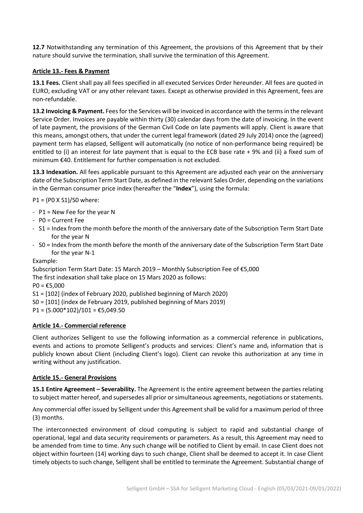**12.7** Notwithstanding any termination of this Agreement, the provisions of this Agreement that by their nature should survive the termination, shall survive the termination of this Agreement.

# **Article 13.- Fees & Payment**

**13.1 Fees.** Client shall pay all fees specified in all executed Services Order hereunder. All fees are quoted in EURO, excluding VAT or any other relevant taxes. Except as otherwise provided in this Agreement, fees are non-refundable.

**13.2 Invoicing & Payment.** Fees for the Services will be invoiced in accordance with the terms in the relevant Service Order. Invoices are payable within thirty (30) calendar days from the date of invoicing. In the event of late payment, the provisions of the German Civil Code on late payments will apply. Client is aware that this means, amongst others, that under the current legal framework (dated 29 July 2014) once the (agreed) payment term has elapsed, Selligent will automatically (no notice of non-performance being required) be entitled to (i) an interest for late payment that is equal to the ECB base rate + 9% and (ii) a fixed sum of minimum €40. Entitlement for further compensation is not excluded.

**13.3 Indexation.** All fees applicable pursuant to this Agreement are adjusted each year on the anniversary date of the Subscription Term Start Date, as defined in the relevant Sales Order, depending on the variations in the German consumer price index (hereafter the "**Index**"), using the formula:

P1 = (P0 X S1)/S0 where:

- P1 = New Fee for the year N
- P0 = Current Fee
- S1 = Index from the month before the month of the anniversary date of the Subscription Term Start Date for the year N
- S0 = Index from the month before the month of the anniversary date of the Subscription Term Start Date for the year N-1

Example:

Subscription Term Start Date: 15 March 2019 – Monthly Subscription Fee of €5,000

The first indexation shall take place on 15 Mars 2020 as follows:

 $PO = £5,000$ 

S1 = [102] (index of February 2020, published beginning of March 2020)

S0 = [101] (index de February 2019, published beginning of Mars 2019)

 $P1 = (5.000*102)/101 = \text{\textsterling}5,049.50$ 

#### **Article 14.- Commercial reference**

Client authorizes Selligent to use the following information as a commercial reference in publications, events and actions to promote Selligent's products and services: Client's name and, information that is publicly known about Client (including Client's logo). Client can revoke this authorization at any time in writing without any justification.

#### **Article 15.- General Provisions**

**15.1 Entire Agreement – Severability.** The Agreement is the entire agreement between the parties relating to subject matter hereof, and supersedes all prior or simultaneous agreements, negotiations or statements.

Any commercial offer issued by Selligent under this Agreement shall be valid for a maximum period of three (3) months.

The interconnected environment of cloud computing is subject to rapid and substantial change of operational, legal and data security requirements or parameters. As a result, this Agreement may need to be amended from time to time. Any such change will be notified to Client by email. In case Client does not object within fourteen (14) working days to such change, Client shall be deemed to accept it. In case Client timely objects to such change, Selligent shall be entitled to terminate the Agreement. Substantial change of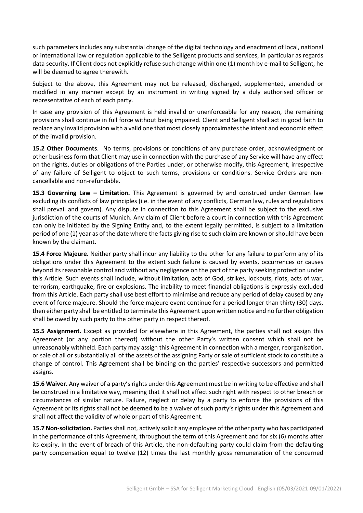such parameters includes any substantial change of the digital technology and enactment of local, national or international law or regulation applicable to the Selligent products and services, in particular as regards data security. If Client does not explicitly refuse such change within one (1) month by e-mail to Selligent, he will be deemed to agree therewith.

Subject to the above, this Agreement may not be released, discharged, supplemented, amended or modified in any manner except by an instrument in writing signed by a duly authorised officer or representative of each of each party.

In case any provision of this Agreement is held invalid or unenforceable for any reason, the remaining provisions shall continue in full force without being impaired. Client and Selligent shall act in good faith to replace any invalid provision with a valid one that most closely approximates the intent and economic effect of the invalid provision.

**15.2 Other Documents**. No terms, provisions or conditions of any purchase order, acknowledgment or other business form that Client may use in connection with the purchase of any Service will have any effect on the rights, duties or obligations of the Parties under, or otherwise modify, this Agreement, irrespective of any failure of Selligent to object to such terms, provisions or conditions. Service Orders are noncancellable and non-refundable.

**15.3 Governing Law – Limitation.** This Agreement is governed by and construed under German law excluding its conflicts of law principles (i.e. in the event of any conflicts, German law, rules and regulations shall prevail and govern). Any dispute in connection to this Agreement shall be subject to the exclusive jurisdiction of the courts of Munich. Any claim of Client before a court in connection with this Agreement can only be initiated by the Signing Entity and, to the extent legally permitted, is subject to a limitation period of one (1) year as of the date where the facts giving rise to such claim are known or should have been known by the claimant.

**15.4 Force Majeure.** Neither party shall incur any liability to the other for any failure to perform any of its obligations under this Agreement to the extent such failure is caused by events, occurrences or causes beyond its reasonable control and without any negligence on the part of the party seeking protection under this Article. Such events shall include, without limitation, acts of God, strikes, lockouts, riots, acts of war, terrorism, earthquake, fire or explosions. The inability to meet financial obligations is expressly excluded from this Article. Each party shall use best effort to minimise and reduce any period of delay caused by any event of force majeure. Should the force majeure event continue for a period longer than thirty (30) days, then either party shall be entitled to terminate this Agreement upon written notice and no further obligation shall be owed by such party to the other party in respect thereof.

**15.5 Assignment.** Except as provided for elsewhere in this Agreement, the parties shall not assign this Agreement (or any portion thereof) without the other Party's written consent which shall not be unreasonably withheld. Each party may assign this Agreement in connection with a merger, reorganisation, or sale of all or substantially all of the assets of the assigning Party or sale of sufficient stock to constitute a change of control. This Agreement shall be binding on the parties' respective successors and permitted assigns.

**15.6 Waiver.** Any waiver of a party's rights under this Agreement must be in writing to be effective and shall be construed in a limitative way, meaning that it shall not affect such right with respect to other breach or circumstances of similar nature. Failure, neglect or delay by a party to enforce the provisions of this Agreement or its rights shall not be deemed to be a waiver of such party's rights under this Agreement and shall not affect the validity of whole or part of this Agreement.

**15.7 Non-solicitation.** Parties shall not, actively solicit any employee of the other party who has participated in the performance of this Agreement, throughout the term of this Agreement and for six (6) months after its expiry. In the event of breach of this Article, the non-defaulting party could claim from the defaulting party compensation equal to twelve (12) times the last monthly gross remuneration of the concerned